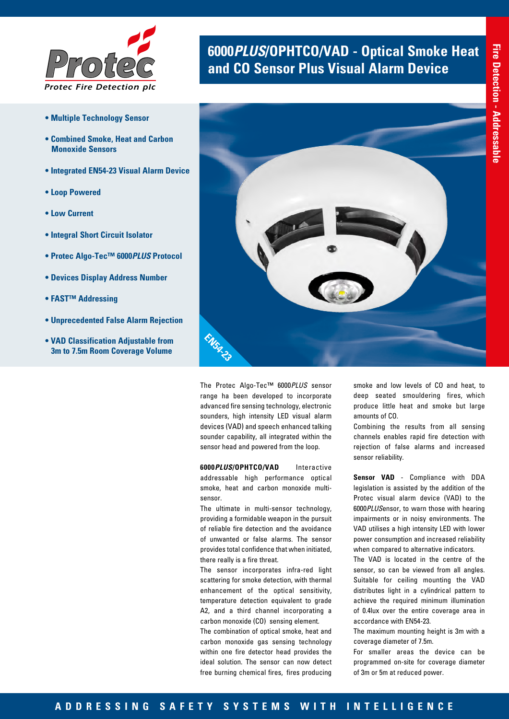

- **Multiple Technology Sensor**
- **Combined Smoke, Heat and Carbon Monoxide Sensors**
- **Integrated EN54-23 Visual Alarm Device**
- **Loop Powered**
- **Low Current**
- **Integral Short Circuit Isolator**
- **Protec Algo-Tec™ 6000***PLUS* **Protocol**
- **Devices Display Address Number**
- **FAST™ Addressing**
- **Unprecedented False Alarm Rejection**
- **VAD Classification Adjustable from 3m to 7.5m Room Coverage Volume**

# **6000***PLUS***/OPHTCO/VAD - Optical Smoke Heat and CO Sensor Plus Visual Alarm Device**



The Protec Algo-Tec™ 6000*PLUS* sensor range ha been developed to incorporate advanced fire sensing technology, electronic sounders, high intensity LED visual alarm devices (VAD) and speech enhanced talking sounder capability, all integrated within the sensor head and powered from the loop.

**6000***PLUS***/OPHTCO/VAD** Interactive addressable high performance optical smoke, heat and carbon monoxide multisensor.

The ultimate in multi-sensor technology, providing a formidable weapon in the pursuit of reliable fire detection and the avoidance of unwanted or false alarms. The sensor provides total confidence that when initiated, there really is a fire threat.

The sensor incorporates infra-red light scattering for smoke detection, with thermal enhancement of the optical sensitivity, temperature detection equivalent to grade A2, and a third channel incorporating a carbon monoxide (CO) sensing element.

The combination of optical smoke, heat and carbon monoxide gas sensing technology within one fire detector head provides the ideal solution. The sensor can now detect free burning chemical fires, fires producing

smoke and low levels of CO and heat, to deep seated smouldering fires, which produce little heat and smoke but large amounts of CO.

Combining the results from all sensing channels enables rapid fire detection with rejection of false alarms and increased sensor reliability.

**Sensor VAD** - Compliance with DDA legislation is assisted by the addition of the Protec visual alarm device (VAD) to the 6000*PLUS*ensor, to warn those with hearing impairments or in noisy environments. The VAD utilises a high intensity LED with lower power consumption and increased reliability when compared to alternative indicators.

The VAD is located in the centre of the sensor, so can be viewed from all angles. Suitable for ceiling mounting the VAD distributes light in a cylindrical pattern to achieve the required minimum illumination of 0.4lux over the entire coverage area in accordance with EN54-23.

The maximum mounting height is 3m with a coverage diameter of 7.5m.

For smaller areas the device can be programmed on-site for coverage diameter of 3m or 5m at reduced power.